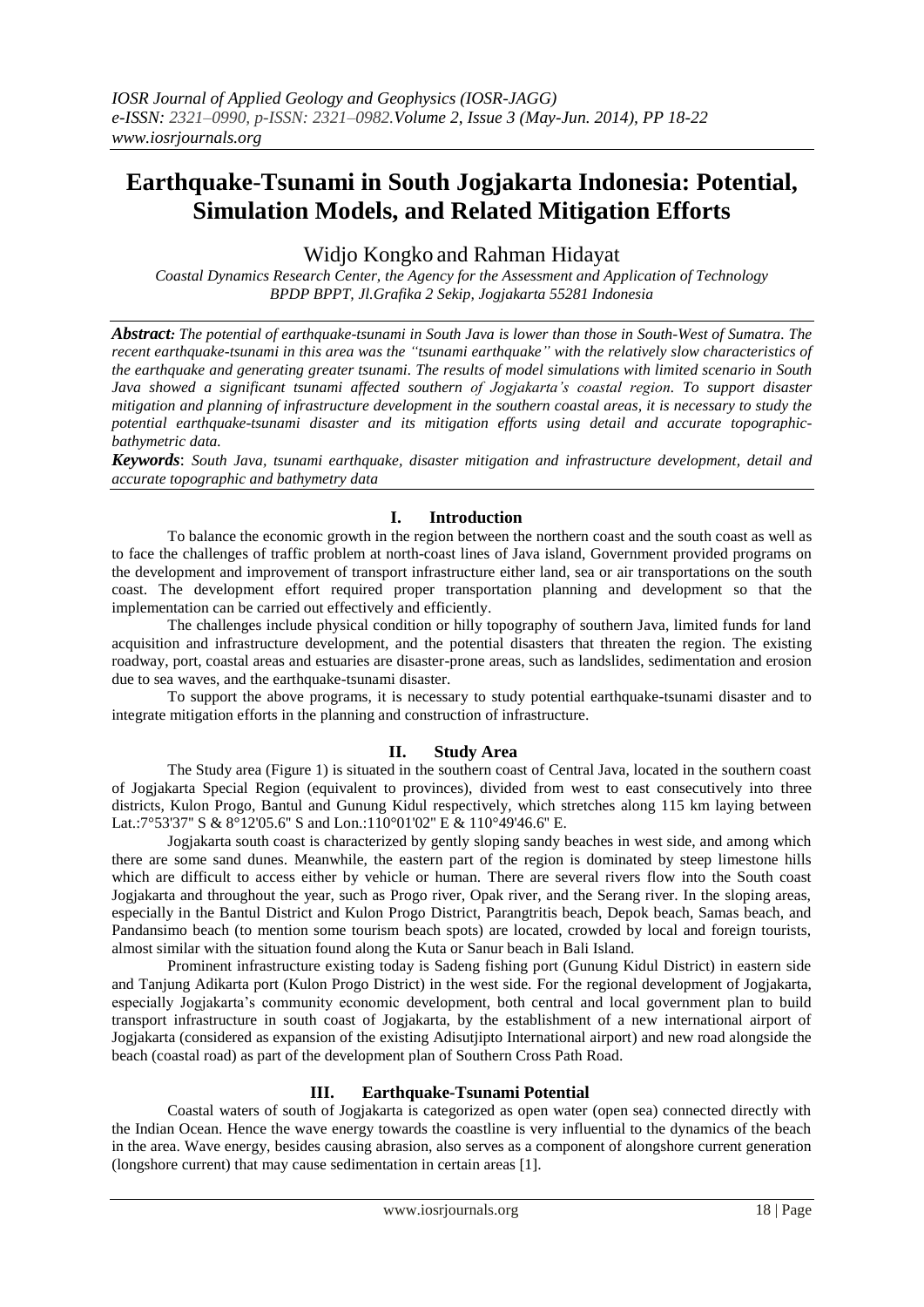# **Earthquake**-**Tsunami in South Jogjakarta Indonesia: Potential, Simulation Models, and Related Mitigation Efforts**

Widjo Kongko and Rahman Hidayat

*Coastal Dynamics Research Center, the Agency for the Assessment and Application of Technology BPDP BPPT, Jl.Grafika 2 Sekip, Jogjakarta 55281 Indonesia*

*Abstract: The potential of earthquake*-*tsunami in South Java is lower than those in South-West of Sumatra. The recent earthquake-tsunami in this area was the "tsunami earthquake" with the relatively slow characteristics of the earthquake and generating greater tsunami. The results of model simulations with limited scenario in South Java showed a significant tsunami affected southern of Jogjakarta's coastal region. To support disaster mitigation and planning of infrastructure development in the southern coastal areas, it is necessary to study the potential earthquake*-*tsunami disaster and its mitigation efforts using detail and accurate topographicbathymetric data.*

*Keywords*: *South Java, tsunami earthquake, disaster mitigation and infrastructure development, detail and accurate topographic and bathymetry data*

#### **I. Introduction**

To balance the economic growth in the region between the northern coast and the south coast as well as to face the challenges of traffic problem at north-coast lines of Java island, Government provided programs on the development and improvement of transport infrastructure either land, sea or air transportations on the south coast. The development effort required proper transportation planning and development so that the implementation can be carried out effectively and efficiently.

The challenges include physical condition or hilly topography of southern Java, limited funds for land acquisition and infrastructure development, and the potential disasters that threaten the region. The existing roadway, port, coastal areas and estuaries are disaster-prone areas, such as landslides, sedimentation and erosion due to sea waves, and the earthquake-tsunami disaster.

To support the above programs, it is necessary to study potential earthquake-tsunami disaster and to integrate mitigation efforts in the planning and construction of infrastructure.

#### **II. Study Area**

The Study area (Figure 1) is situated in the southern coast of Central Java, located in the southern coast of Jogjakarta Special Region (equivalent to provinces), divided from west to east consecutively into three districts, Kulon Progo, Bantul and Gunung Kidul respectively, which stretches along 115 km laying between Lat.:7°53'37'' S & 8°12'05.6'' S and Lon.:110°01'02'' E & 110°49'46.6'' E.

Jogjakarta south coast is characterized by gently sloping sandy beaches in west side, and among which there are some sand dunes. Meanwhile, the eastern part of the region is dominated by steep limestone hills which are difficult to access either by vehicle or human. There are several rivers flow into the South coast Jogjakarta and throughout the year, such as Progo river, Opak river, and the Serang river. In the sloping areas, especially in the Bantul District and Kulon Progo District, Parangtritis beach, Depok beach, Samas beach, and Pandansimo beach (to mention some tourism beach spots) are located, crowded by local and foreign tourists, almost similar with the situation found along the Kuta or Sanur beach in Bali Island.

Prominent infrastructure existing today is Sadeng fishing port (Gunung Kidul District) in eastern side and Tanjung Adikarta port (Kulon Progo District) in the west side. For the regional development of Jogjakarta, especially Jogjakarta's community economic development, both central and local government plan to build transport infrastructure in south coast of Jogjakarta, by the establishment of a new international airport of Jogjakarta (considered as expansion of the existing Adisutjipto International airport) and new road alongside the beach (coastal road) as part of the development plan of Southern Cross Path Road.

#### **III. Earthquake-Tsunami Potential**

Coastal waters of south of Jogjakarta is categorized as open water (open sea) connected directly with the Indian Ocean. Hence the wave energy towards the coastline is very influential to the dynamics of the beach in the area. Wave energy, besides causing abrasion, also serves as a component of alongshore current generation (longshore current) that may cause sedimentation in certain areas [1].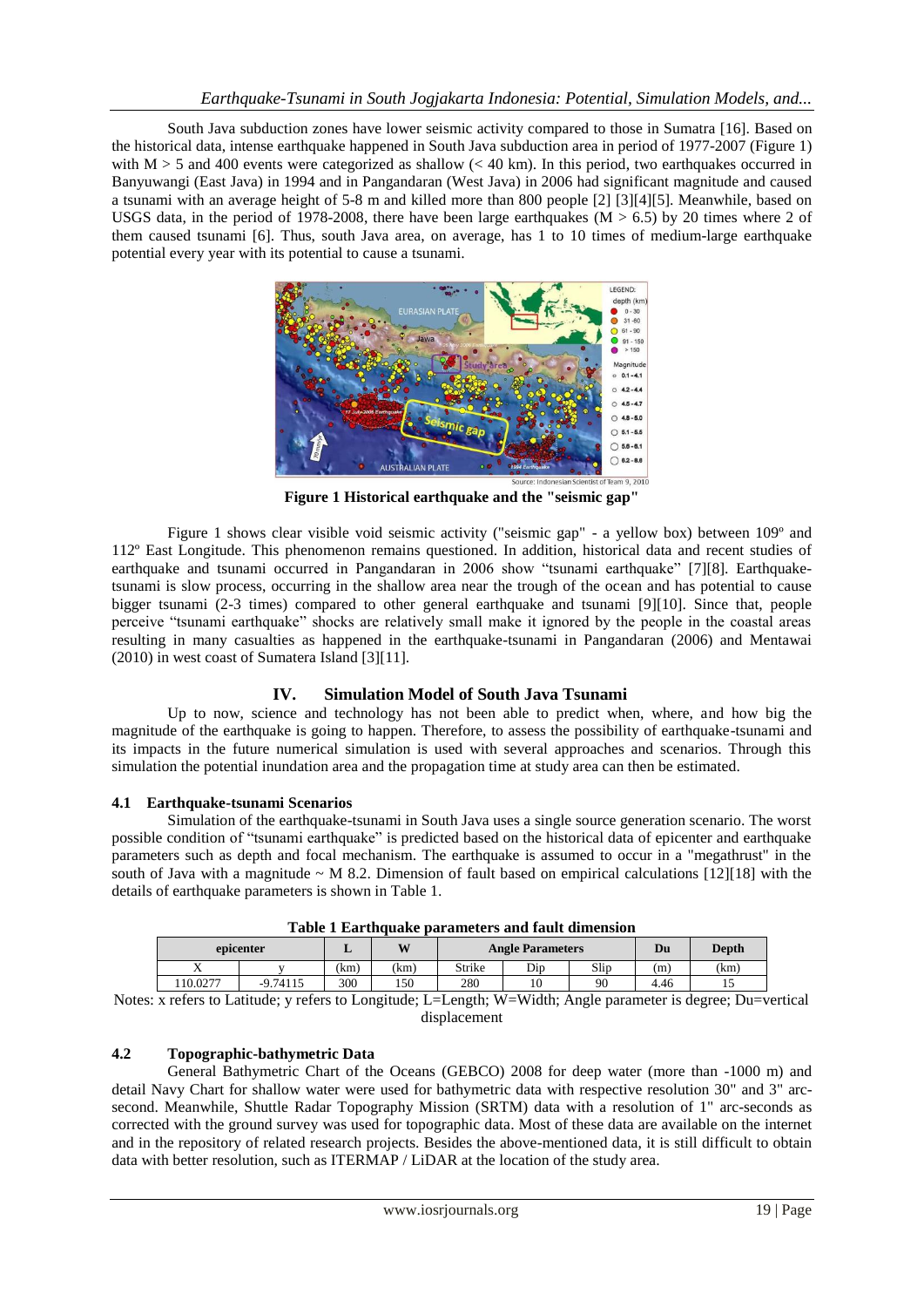South Java subduction zones have lower seismic activity compared to those in Sumatra [16]. Based on the historical data, intense earthquake happened in South Java subduction area in period of 1977-2007 (Figure 1) with M  $>$  5 and 400 events were categorized as shallow ( $<$  40 km). In this period, two earthquakes occurred in Banyuwangi (East Java) in 1994 and in Pangandaran (West Java) in 2006 had significant magnitude and caused a tsunami with an average height of 5-8 m and killed more than 800 people [2] [3][4][5]. Meanwhile, based on USGS data, in the period of 1978-2008, there have been large earthquakes ( $M > 6.5$ ) by 20 times where 2 of them caused tsunami [6]. Thus, south Java area, on average, has 1 to 10 times of medium-large earthquake potential every year with its potential to cause a tsunami.



**Figure 1 Historical earthquake and the "seismic gap"**

Figure 1 shows clear visible void seismic activity ("seismic gap" - a yellow box) between 109º and 112º East Longitude. This phenomenon remains questioned. In addition, historical data and recent studies of earthquake and tsunami occurred in Pangandaran in 2006 show "tsunami earthquake" [7][8]. Earthquaketsunami is slow process, occurring in the shallow area near the trough of the ocean and has potential to cause bigger tsunami (2-3 times) compared to other general earthquake and tsunami [9][10]. Since that, people perceive "tsunami earthquake" shocks are relatively small make it ignored by the people in the coastal areas resulting in many casualties as happened in the earthquake-tsunami in Pangandaran (2006) and Mentawai (2010) in west coast of Sumatera Island [3][11].

# **IV. Simulation Model of South Java Tsunami**

Up to now, science and technology has not been able to predict when, where, and how big the magnitude of the earthquake is going to happen. Therefore, to assess the possibility of earthquake-tsunami and its impacts in the future numerical simulation is used with several approaches and scenarios. Through this simulation the potential inundation area and the propagation time at study area can then be estimated.

# **4.1 Earthquake-tsunami Scenarios**

Simulation of the earthquake-tsunami in South Java uses a single source generation scenario. The worst possible condition of "tsunami earthquake" is predicted based on the historical data of epicenter and earthquake parameters such as depth and focal mechanism. The earthquake is assumed to occur in a "megathrust" in the south of Java with a magnitude  $\sim$  M 8.2. Dimension of fault based on empirical calculations [12][18] with the details of earthquake parameters is shown in Table 1.

| Table I Earlygane parameters and fault uniclision |            |     |            |                         |     |      |      |       |  |
|---------------------------------------------------|------------|-----|------------|-------------------------|-----|------|------|-------|--|
| epicenter                                         |            |     | <b>XX7</b> | <b>Angle Parameters</b> |     |      | Du   | Depth |  |
|                                                   |            | km) | (km)       | Strike                  | Dip | Slip | (m)  | (km)  |  |
| 10.0277                                           | $-9.74115$ | 300 | 50ء        | 280                     |     | 90   | 4.46 |       |  |

|  | Table 1 Earthquake parameters and fault dimension |
|--|---------------------------------------------------|
|  |                                                   |

Notes: x refers to Latitude; y refers to Longitude; L=Length; W=Width; Angle parameter is degree; Du=vertical displacement

#### **4.2 Topographic-bathymetric Data**

[General Bathymetric Chart of the Oceans](http://www.gebco.net/) (GEBCO) 2008 for deep water (more than -1000 m) and detail Navy Chart for shallow water were used for bathymetric data with respective resolution 30" and 3" arcsecond. Meanwhile, [Shuttle Radar Topography Mission](http://en.wikipedia.org/wiki/Shuttle_Radar_Topography_Mission) (SRTM) data with a resolution of 1" arc-seconds as corrected with the ground survey was used for topographic data. Most of these data are available on the internet and in the repository of related research projects. Besides the above-mentioned data, it is still difficult to obtain data with better resolution, such as ITERMAP / LiDAR at the location of the study area.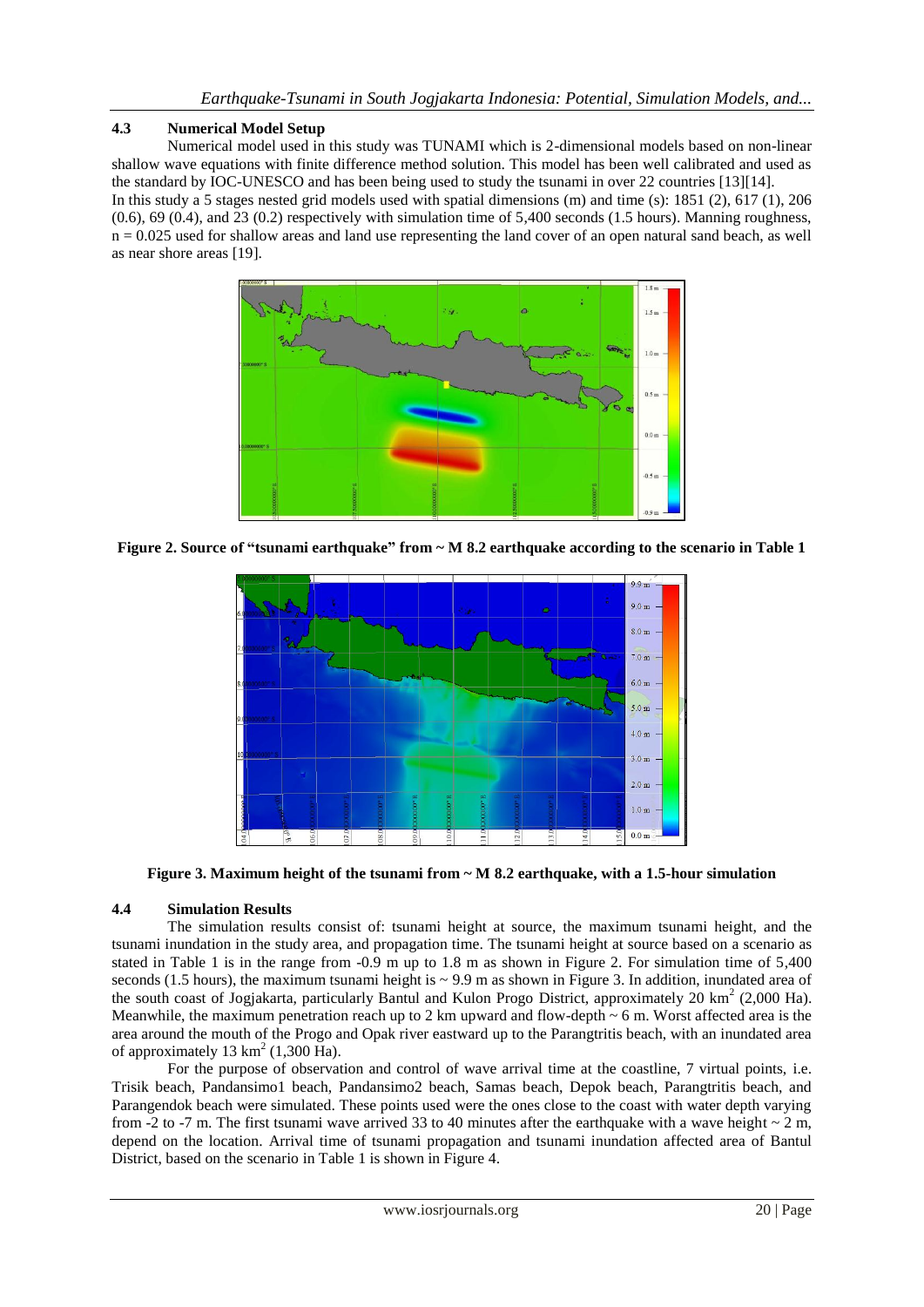#### **4.3 Numerical Model Setup**

Numerical model used in this study was TUNAMI which is 2-dimensional models based on non-linear shallow wave equations with finite difference method solution. This model has been well calibrated and used as the standard by IOC-UNESCO and has been being used to study the tsunami in over 22 countries [13][14]. In this study a 5 stages nested grid models used with spatial dimensions (m) and time (s): 1851 (2), 617 (1), 206  $(0.6)$ , 69  $(0.4)$ , and 23  $(0.2)$  respectively with simulation time of 5.400 seconds (1.5 hours). Manning roughness,  $n = 0.025$  used for shallow areas and land use representing the land cover of an open natural sand beach, as well as near shore areas [19].



**Figure 2. Source of "tsunami earthquake" from ~ M 8.2 earthquake according to the scenario in Table 1**



**Figure 3. Maximum height of the tsunami from ~ M 8.2 earthquake, with a 1.5-hour simulation**

# **4.4 Simulation Results**

The simulation results consist of: tsunami height at source, the maximum tsunami height, and the tsunami inundation in the study area, and propagation time. The tsunami height at source based on a scenario as stated in Table 1 is in the range from -0.9 m up to 1.8 m as shown in Figure 2. For simulation time of 5,400 seconds (1.5 hours), the maximum tsunami height is  $\sim$  9.9 m as shown in Figure 3. In addition, inundated area of the south coast of Jogjakarta, particularly Bantul and Kulon Progo District, approximately 20  $\text{km}^2$  (2,000 Ha). Meanwhile, the maximum penetration reach up to 2 km upward and flow-depth  $\sim$  6 m. Worst affected area is the area around the mouth of the Progo and Opak river eastward up to the Parangtritis beach, with an inundated area of approximately  $13 \text{ km}^2$  (1,300 Ha).

For the purpose of observation and control of wave arrival time at the coastline, 7 virtual points, i.e. Trisik beach, Pandansimo1 beach, Pandansimo2 beach, Samas beach, Depok beach, Parangtritis beach, and Parangendok beach were simulated. These points used were the ones close to the coast with water depth varying from -2 to -7 m. The first tsunami wave arrived 33 to 40 minutes after the earthquake with a wave height  $\sim$  2 m, depend on the location. Arrival time of tsunami propagation and tsunami inundation affected area of Bantul District, based on the scenario in Table 1 is shown in Figure 4.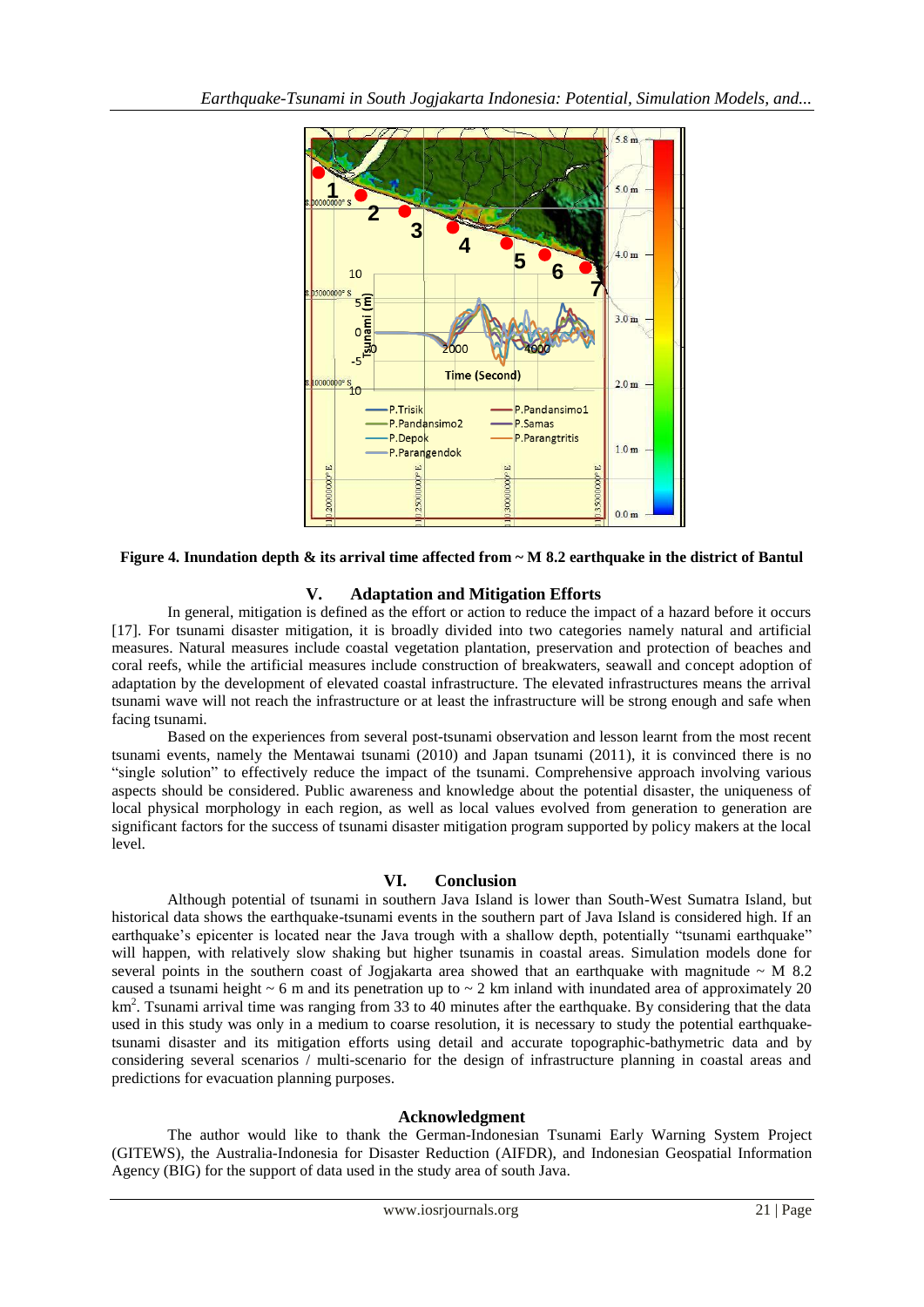

**Figure 4. Inundation depth & its arrival time affected from ~ M 8.2 earthquake in the district of Bantul**

#### **V. Adaptation and Mitigation Efforts**

In general, mitigation is defined as the effort or action to reduce the impact of a hazard before it occurs [17]. For tsunami disaster mitigation, it is broadly divided into two categories namely natural and artificial measures. Natural measures include coastal vegetation plantation, preservation and protection of beaches and coral reefs, while the artificial measures include construction of breakwaters, seawall and concept adoption of adaptation by the development of elevated coastal infrastructure. The elevated infrastructures means the arrival tsunami wave will not reach the infrastructure or at least the infrastructure will be strong enough and safe when facing tsunami.

Based on the experiences from several post-tsunami observation and lesson learnt from the most recent tsunami events, namely the Mentawai tsunami (2010) and Japan tsunami (2011), it is convinced there is no "single solution" to effectively reduce the impact of the tsunami. Comprehensive approach involving various aspects should be considered. Public awareness and knowledge about the potential disaster, the uniqueness of local physical morphology in each region, as well as local values evolved from generation to generation are significant factors for the success of tsunami disaster mitigation program supported by policy makers at the local level.

#### **VI. Conclusion**

Although potential of tsunami in southern Java Island is lower than South-West Sumatra Island, but historical data shows the earthquake-tsunami events in the southern part of Java Island is considered high. If an earthquake's epicenter is located near the Java trough with a shallow depth, potentially "tsunami earthquake" will happen, with relatively slow shaking but higher tsunamis in coastal areas. Simulation models done for several points in the southern coast of Jogjakarta area showed that an earthquake with magnitude  $\sim$  M 8.2 caused a tsunami height  $\sim 6$  m and its penetration up to  $\sim 2$  km inland with inundated area of approximately 20 km<sup>2</sup>. Tsunami arrival time was ranging from 33 to 40 minutes after the earthquake. By considering that the data used in this study was only in a medium to coarse resolution, it is necessary to study the potential earthquaketsunami disaster and its mitigation efforts using detail and accurate topographic-bathymetric data and by considering several scenarios / multi-scenario for the design of infrastructure planning in coastal areas and predictions for evacuation planning purposes.

#### **Acknowledgment**

The author would like to thank the German-Indonesian Tsunami Early Warning System Project (GITEWS), the Australia-Indonesia for Disaster Reduction (AIFDR), and Indonesian Geospatial Information Agency (BIG) for the support of data used in the study area of south Java.